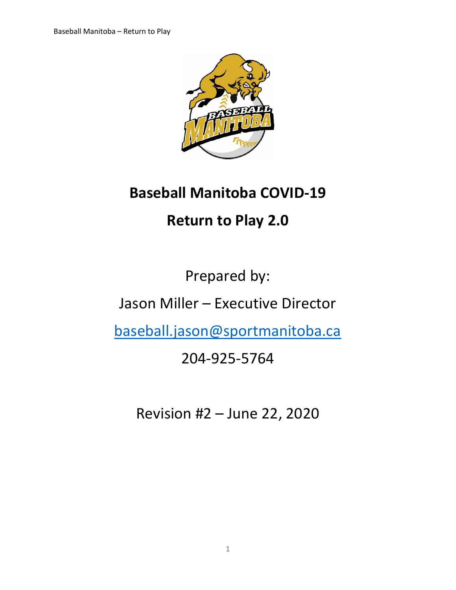

# **Baseball Manitoba COVID-19**

# **Return to Play 2.0**

Prepared by:

Jason Miller – Executive Director

[baseball.jason@sportmanitoba.ca](mailto:baseball.jason@sportmanitoba.ca)

# 204-925-5764

Revision #2 – June 22, 2020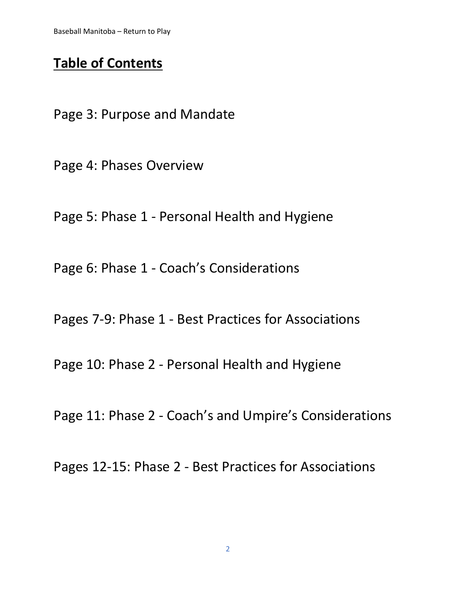## **Table of Contents**

Page 3: Purpose and Mandate

Page 4: Phases Overview

Page 5: Phase 1 - Personal Health and Hygiene

Page 6: Phase 1 - Coach's Considerations

Pages 7-9: Phase 1 - Best Practices for Associations

Page 10: Phase 2 - Personal Health and Hygiene

Page 11: Phase 2 - Coach's and Umpire's Considerations

Pages 12-15: Phase 2 - Best Practices for Associations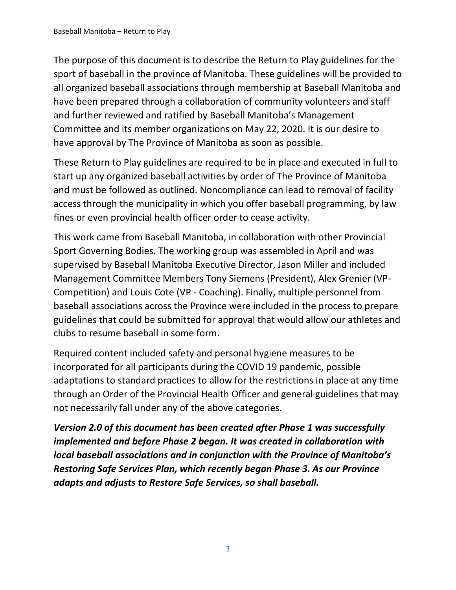The purpose of this document is to describe the Return to Play guidelines for the sport of baseball in the province of Manitoba. These guidelines will be provided to all organized baseball associations through membership at Baseball Manitoba and have been prepared through a collaboration of community volunteers and staff and further reviewed and ratified by Baseball Manitoba's Management Committee and its member organizations on May 22, 2020. It is our desire to have approval by The Province of Manitoba as soon as possible.

These Return to Play guidelines are required to be in place and executed in full to start up any organized baseball activities by order of The Province of Manitoba and must be followed as outlined. Noncompliance can lead to removal of facility access through the municipality in which you offer baseball programming, by law fines or even provincial health officer order to cease activity.

This work came from Baseball Manitoba, in collaboration with other Provincial Sport Governing Bodies. The working group was assembled in April and was supervised by Baseball Manitoba Executive Director, Jason Miller and included Management Committee Members Tony Siemens (President), Alex Grenier (VP-Competition) and Louis Cote (VP - Coaching). Finally, multiple personnel from baseball associations across the Province were included in the process to prepare guidelines that could be submitted for approval that would allow our athletes and clubs to resume baseball in some form.

Required content included safety and personal hygiene measures to be incorporated for all participants during the COVID 19 pandemic, possible adaptations to standard practices to allow for the restrictions in place at any time through an Order of the Provincial Health Officer and general guidelines that may not necessarily fall under any of the above categories.

*Version 2.0 of this document has been created after Phase 1 was successfully implemented and before Phase 2 began. It was created in collaboration with local baseball associations and in conjunction with the Province of Manitoba's Restoring Safe Services Plan, which recently began Phase 3. As our Province adapts and adjusts to Restore Safe Services, so shall baseball.*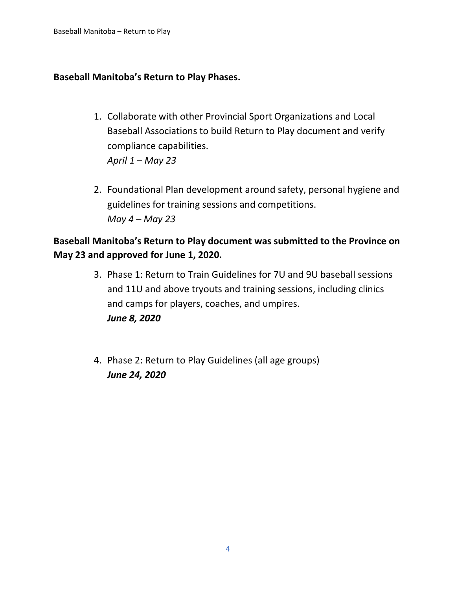### **Baseball Manitoba's Return to Play Phases.**

- 1. Collaborate with other Provincial Sport Organizations and Local Baseball Associations to build Return to Play document and verify compliance capabilities. *April 1 – May 23*
- 2. Foundational Plan development around safety, personal hygiene and guidelines for training sessions and competitions. *May 4 – May 23*

## **Baseball Manitoba's Return to Play document was submitted to the Province on May 23 and approved for June 1, 2020.**

- 3. Phase 1: Return to Train Guidelines for 7U and 9U baseball sessions and 11U and above tryouts and training sessions, including clinics and camps for players, coaches, and umpires. *June 8, 2020*
- 4. Phase 2: Return to Play Guidelines (all age groups) *June 24, 2020*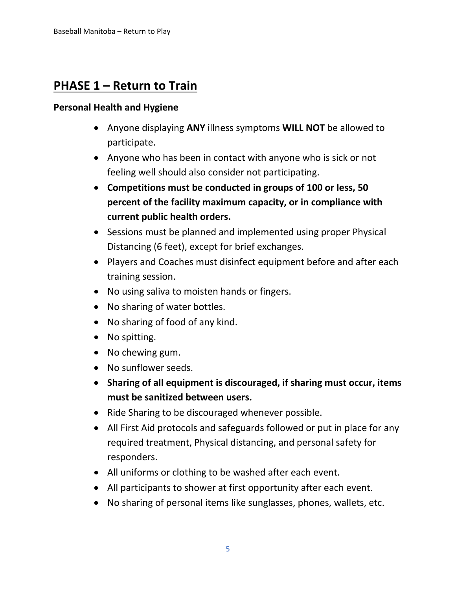## **PHASE 1 – Return to Train**

### **Personal Health and Hygiene**

- Anyone displaying **ANY** illness symptoms **WILL NOT** be allowed to participate.
- Anyone who has been in contact with anyone who is sick or not feeling well should also consider not participating.
- **Competitions must be conducted in groups of 100 or less, 50 percent of the facility maximum capacity, or in compliance with current public health orders.**
- Sessions must be planned and implemented using proper Physical Distancing (6 feet), except for brief exchanges.
- Players and Coaches must disinfect equipment before and after each training session.
- No using saliva to moisten hands or fingers.
- No sharing of water bottles.
- No sharing of food of any kind.
- No spitting.
- No chewing gum.
- No sunflower seeds.
- **Sharing of all equipment is discouraged, if sharing must occur, items must be sanitized between users.**
- Ride Sharing to be discouraged whenever possible.
- All First Aid protocols and safeguards followed or put in place for any required treatment, Physical distancing, and personal safety for responders.
- All uniforms or clothing to be washed after each event.
- All participants to shower at first opportunity after each event.
- No sharing of personal items like sunglasses, phones, wallets, etc.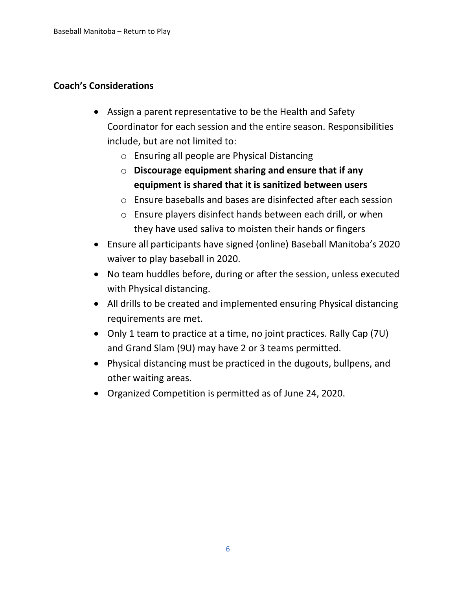### **Coach's Considerations**

- Assign a parent representative to be the Health and Safety Coordinator for each session and the entire season. Responsibilities include, but are not limited to:
	- o Ensuring all people are Physical Distancing
	- o **Discourage equipment sharing and ensure that if any equipment is shared that it is sanitized between users**
	- o Ensure baseballs and bases are disinfected after each session
	- o Ensure players disinfect hands between each drill, or when they have used saliva to moisten their hands or fingers
- Ensure all participants have signed (online) Baseball Manitoba's 2020 waiver to play baseball in 2020.
- No team huddles before, during or after the session, unless executed with Physical distancing.
- All drills to be created and implemented ensuring Physical distancing requirements are met.
- Only 1 team to practice at a time, no joint practices. Rally Cap (7U) and Grand Slam (9U) may have 2 or 3 teams permitted.
- Physical distancing must be practiced in the dugouts, bullpens, and other waiting areas.
- Organized Competition is permitted as of June 24, 2020.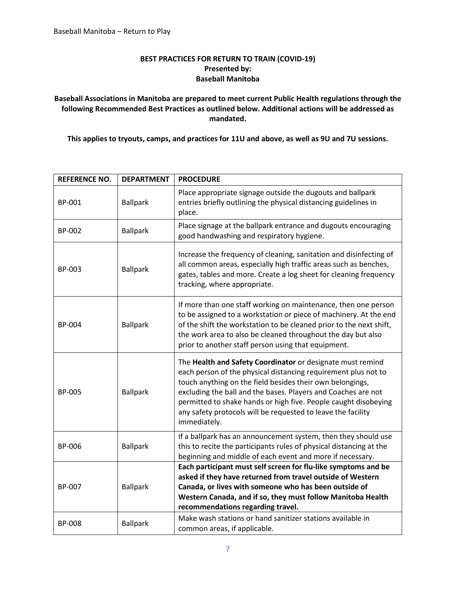#### **BEST PRACTICES FOR RETURN TO TRAIN (COVID-19) Presented by: Baseball Manitoba**

#### **Baseball Associations in Manitoba are prepared to meet current Public Health regulations through the following Recommended Best Practices as outlined below. Additional actions will be addressed as mandated.**

**This applies to tryouts, camps, and practices for 11U and above, as well as 9U and 7U sessions.** 

| <b>REFERENCE NO.</b> | <b>DEPARTMENT</b> | <b>PROCEDURE</b>                                                                                                                                                                                                                                                                                                                                                                                              |
|----------------------|-------------------|---------------------------------------------------------------------------------------------------------------------------------------------------------------------------------------------------------------------------------------------------------------------------------------------------------------------------------------------------------------------------------------------------------------|
| BP-001               | <b>Ballpark</b>   | Place appropriate signage outside the dugouts and ballpark<br>entries briefly outlining the physical distancing guidelines in<br>place.                                                                                                                                                                                                                                                                       |
| BP-002               | <b>Ballpark</b>   | Place signage at the ballpark entrance and dugouts encouraging<br>good handwashing and respiratory hygiene.                                                                                                                                                                                                                                                                                                   |
| BP-003               | <b>Ballpark</b>   | Increase the frequency of cleaning, sanitation and disinfecting of<br>all common areas, especially high traffic areas such as benches,<br>gates, tables and more. Create a log sheet for cleaning frequency<br>tracking, where appropriate.                                                                                                                                                                   |
| BP-004               | <b>Ballpark</b>   | If more than one staff working on maintenance, then one person<br>to be assigned to a workstation or piece of machinery. At the end<br>of the shift the workstation to be cleaned prior to the next shift,<br>the work area to also be cleaned throughout the day but also<br>prior to another staff person using that equipment.                                                                             |
| BP-005               | <b>Ballpark</b>   | The Health and Safety Coordinator or designate must remind<br>each person of the physical distancing requirement plus not to<br>touch anything on the field besides their own belongings,<br>excluding the ball and the bases. Players and Coaches are not<br>permitted to shake hands or high five. People caught disobeying<br>any safety protocols will be requested to leave the facility<br>immediately. |
| BP-006               | <b>Ballpark</b>   | If a ballpark has an announcement system, then they should use<br>this to recite the participants rules of physical distancing at the<br>beginning and middle of each event and more if necessary.                                                                                                                                                                                                            |
| BP-007               | <b>Ballpark</b>   | Each participant must self screen for flu-like symptoms and be<br>asked if they have returned from travel outside of Western<br>Canada, or lives with someone who has been outside of<br>Western Canada, and if so, they must follow Manitoba Health<br>recommendations regarding travel.                                                                                                                     |
| BP-008               | <b>Ballpark</b>   | Make wash stations or hand sanitizer stations available in<br>common areas, if applicable.                                                                                                                                                                                                                                                                                                                    |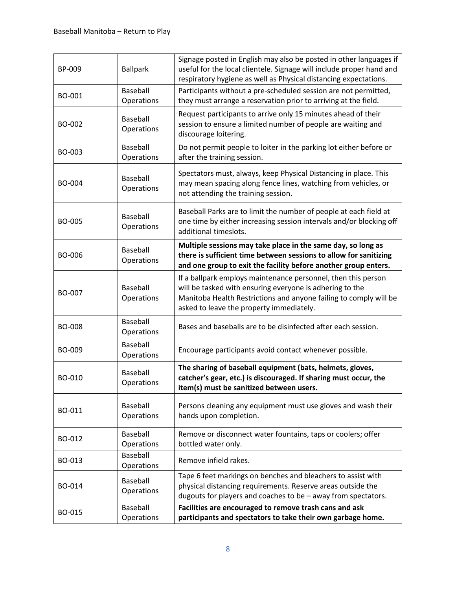| BP-009        | <b>Ballpark</b>               | Signage posted in English may also be posted in other languages if<br>useful for the local clientele. Signage will include proper hand and<br>respiratory hygiene as well as Physical distancing expectations.                             |
|---------------|-------------------------------|--------------------------------------------------------------------------------------------------------------------------------------------------------------------------------------------------------------------------------------------|
| BO-001        | Baseball<br>Operations        | Participants without a pre-scheduled session are not permitted,<br>they must arrange a reservation prior to arriving at the field.                                                                                                         |
| BO-002        | Baseball<br>Operations        | Request participants to arrive only 15 minutes ahead of their<br>session to ensure a limited number of people are waiting and<br>discourage loitering.                                                                                     |
| BO-003        | Baseball<br>Operations        | Do not permit people to loiter in the parking lot either before or<br>after the training session.                                                                                                                                          |
| BO-004        | Baseball<br>Operations        | Spectators must, always, keep Physical Distancing in place. This<br>may mean spacing along fence lines, watching from vehicles, or<br>not attending the training session.                                                                  |
| <b>BO-005</b> | <b>Baseball</b><br>Operations | Baseball Parks are to limit the number of people at each field at<br>one time by either increasing session intervals and/or blocking off<br>additional timeslots.                                                                          |
| <b>BO-006</b> | Baseball<br>Operations        | Multiple sessions may take place in the same day, so long as<br>there is sufficient time between sessions to allow for sanitizing<br>and one group to exit the facility before another group enters.                                       |
| BO-007        | Baseball<br>Operations        | If a ballpark employs maintenance personnel, then this person<br>will be tasked with ensuring everyone is adhering to the<br>Manitoba Health Restrictions and anyone failing to comply will be<br>asked to leave the property immediately. |
| <b>BO-008</b> | Baseball<br>Operations        | Bases and baseballs are to be disinfected after each session.                                                                                                                                                                              |
| BO-009        | Baseball<br>Operations        | Encourage participants avoid contact whenever possible.                                                                                                                                                                                    |
| BO-010        | Baseball<br>Operations        | The sharing of baseball equipment (bats, helmets, gloves,<br>catcher's gear, etc.) is discouraged. If sharing must occur, the<br>item(s) must be sanitized between users.                                                                  |
| BO-011        | Baseball<br>Operations        | Persons cleaning any equipment must use gloves and wash their<br>hands upon completion.                                                                                                                                                    |
| BO-012        | <b>Baseball</b><br>Operations | Remove or disconnect water fountains, taps or coolers; offer<br>bottled water only.                                                                                                                                                        |
| BO-013        | Baseball<br>Operations        | Remove infield rakes.                                                                                                                                                                                                                      |
| BO-014        | <b>Baseball</b><br>Operations | Tape 6 feet markings on benches and bleachers to assist with<br>physical distancing requirements. Reserve areas outside the<br>dugouts for players and coaches to be - away from spectators.                                               |
| BO-015        | Baseball<br>Operations        | Facilities are encouraged to remove trash cans and ask<br>participants and spectators to take their own garbage home.                                                                                                                      |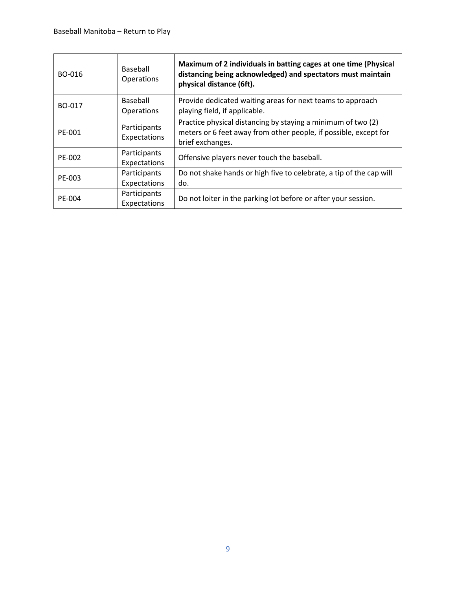| BO-016 | Baseball<br>Operations       | Maximum of 2 individuals in batting cages at one time (Physical<br>distancing being acknowledged) and spectators must maintain<br>physical distance (6ft). |
|--------|------------------------------|------------------------------------------------------------------------------------------------------------------------------------------------------------|
| BO-017 | Baseball<br>Operations       | Provide dedicated waiting areas for next teams to approach<br>playing field, if applicable.                                                                |
| PE-001 | Participants<br>Expectations | Practice physical distancing by staying a minimum of two (2)<br>meters or 6 feet away from other people, if possible, except for<br>brief exchanges.       |
| PE-002 | Participants<br>Expectations | Offensive players never touch the baseball.                                                                                                                |
| PE-003 | Participants<br>Expectations | Do not shake hands or high five to celebrate, a tip of the cap will<br>do.                                                                                 |
| PE-004 | Participants<br>Expectations | Do not loiter in the parking lot before or after your session.                                                                                             |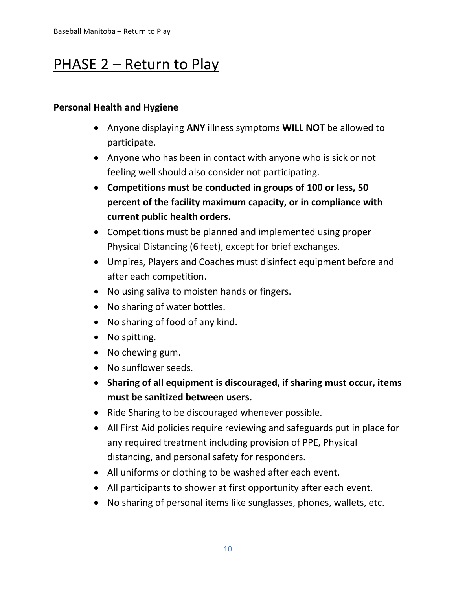## PHASE 2 – Return to Play

### **Personal Health and Hygiene**

- Anyone displaying **ANY** illness symptoms **WILL NOT** be allowed to participate.
- Anyone who has been in contact with anyone who is sick or not feeling well should also consider not participating.
- **Competitions must be conducted in groups of 100 or less, 50 percent of the facility maximum capacity, or in compliance with current public health orders.**
- Competitions must be planned and implemented using proper Physical Distancing (6 feet), except for brief exchanges.
- Umpires, Players and Coaches must disinfect equipment before and after each competition.
- No using saliva to moisten hands or fingers.
- No sharing of water bottles.
- No sharing of food of any kind.
- No spitting.
- No chewing gum.
- No sunflower seeds.
- **Sharing of all equipment is discouraged, if sharing must occur, items must be sanitized between users.**
- Ride Sharing to be discouraged whenever possible.
- All First Aid policies require reviewing and safeguards put in place for any required treatment including provision of PPE, Physical distancing, and personal safety for responders.
- All uniforms or clothing to be washed after each event.
- All participants to shower at first opportunity after each event.
- No sharing of personal items like sunglasses, phones, wallets, etc.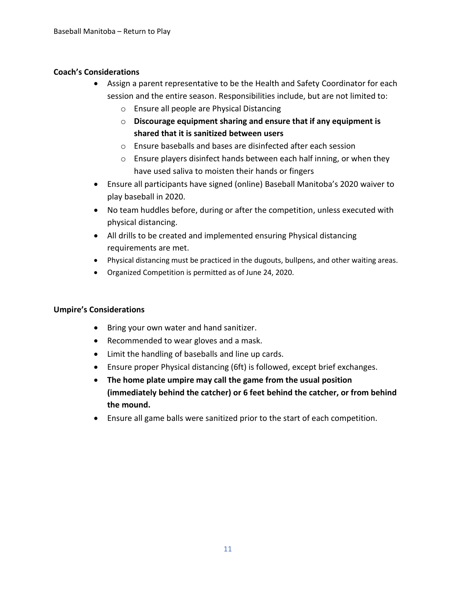#### **Coach's Considerations**

- Assign a parent representative to be the Health and Safety Coordinator for each session and the entire season. Responsibilities include, but are not limited to:
	- o Ensure all people are Physical Distancing
	- o **Discourage equipment sharing and ensure that if any equipment is shared that it is sanitized between users**
	- o Ensure baseballs and bases are disinfected after each session
	- o Ensure players disinfect hands between each half inning, or when they have used saliva to moisten their hands or fingers
- Ensure all participants have signed (online) Baseball Manitoba's 2020 waiver to play baseball in 2020.
- No team huddles before, during or after the competition, unless executed with physical distancing.
- All drills to be created and implemented ensuring Physical distancing requirements are met.
- Physical distancing must be practiced in the dugouts, bullpens, and other waiting areas.
- Organized Competition is permitted as of June 24, 2020.

#### **Umpire's Considerations**

- Bring your own water and hand sanitizer.
- Recommended to wear gloves and a mask.
- Limit the handling of baseballs and line up cards.
- Ensure proper Physical distancing (6ft) is followed, except brief exchanges.
- **The home plate umpire may call the game from the usual position (immediately behind the catcher) or 6 feet behind the catcher, or from behind the mound.**
- Ensure all game balls were sanitized prior to the start of each competition.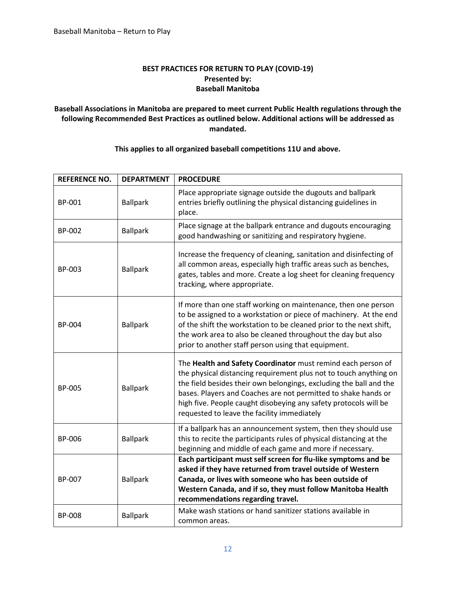#### **BEST PRACTICES FOR RETURN TO PLAY (COVID-19) Presented by: Baseball Manitoba**

#### **Baseball Associations in Manitoba are prepared to meet current Public Health regulations through the following Recommended Best Practices as outlined below. Additional actions will be addressed as mandated.**

| <b>REFERENCE NO.</b> | <b>DEPARTMENT</b> | <b>PROCEDURE</b>                                                                                                                                                                                                                                                                                                                                                                             |
|----------------------|-------------------|----------------------------------------------------------------------------------------------------------------------------------------------------------------------------------------------------------------------------------------------------------------------------------------------------------------------------------------------------------------------------------------------|
| <b>BP-001</b>        | <b>Ballpark</b>   | Place appropriate signage outside the dugouts and ballpark<br>entries briefly outlining the physical distancing guidelines in<br>place.                                                                                                                                                                                                                                                      |
| <b>BP-002</b>        | <b>Ballpark</b>   | Place signage at the ballpark entrance and dugouts encouraging<br>good handwashing or sanitizing and respiratory hygiene.                                                                                                                                                                                                                                                                    |
| BP-003               | <b>Ballpark</b>   | Increase the frequency of cleaning, sanitation and disinfecting of<br>all common areas, especially high traffic areas such as benches,<br>gates, tables and more. Create a log sheet for cleaning frequency<br>tracking, where appropriate.                                                                                                                                                  |
| <b>BP-004</b>        | <b>Ballpark</b>   | If more than one staff working on maintenance, then one person<br>to be assigned to a workstation or piece of machinery. At the end<br>of the shift the workstation to be cleaned prior to the next shift,<br>the work area to also be cleaned throughout the day but also<br>prior to another staff person using that equipment.                                                            |
| <b>BP-005</b>        | <b>Ballpark</b>   | The Health and Safety Coordinator must remind each person of<br>the physical distancing requirement plus not to touch anything on<br>the field besides their own belongings, excluding the ball and the<br>bases. Players and Coaches are not permitted to shake hands or<br>high five. People caught disobeying any safety protocols will be<br>requested to leave the facility immediately |
| BP-006               | <b>Ballpark</b>   | If a ballpark has an announcement system, then they should use<br>this to recite the participants rules of physical distancing at the<br>beginning and middle of each game and more if necessary.                                                                                                                                                                                            |
| BP-007               | <b>Ballpark</b>   | Each participant must self screen for flu-like symptoms and be<br>asked if they have returned from travel outside of Western<br>Canada, or lives with someone who has been outside of<br>Western Canada, and if so, they must follow Manitoba Health<br>recommendations regarding travel.                                                                                                    |
| <b>BP-008</b>        | <b>Ballpark</b>   | Make wash stations or hand sanitizer stations available in<br>common areas.                                                                                                                                                                                                                                                                                                                  |

#### **This applies to all organized baseball competitions 11U and above.**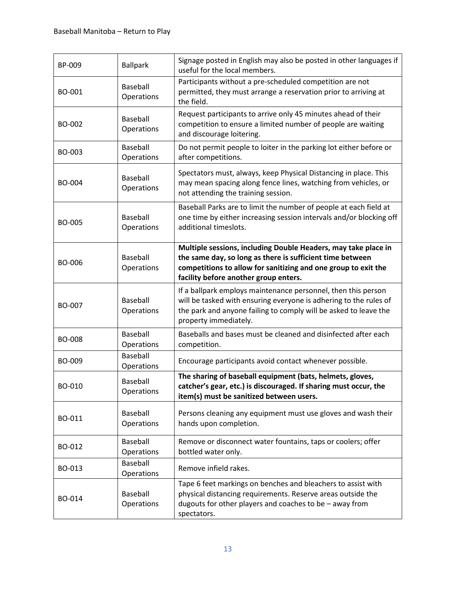| BP-009        | <b>Ballpark</b>               | Signage posted in English may also be posted in other languages if<br>useful for the local members.                                                                                                                                    |
|---------------|-------------------------------|----------------------------------------------------------------------------------------------------------------------------------------------------------------------------------------------------------------------------------------|
| BO-001        | Baseball<br>Operations        | Participants without a pre-scheduled competition are not<br>permitted, they must arrange a reservation prior to arriving at<br>the field.                                                                                              |
| <b>BO-002</b> | <b>Baseball</b><br>Operations | Request participants to arrive only 45 minutes ahead of their<br>competition to ensure a limited number of people are waiting<br>and discourage loitering.                                                                             |
| BO-003        | Baseball<br>Operations        | Do not permit people to loiter in the parking lot either before or<br>after competitions.                                                                                                                                              |
| BO-004        | Baseball<br>Operations        | Spectators must, always, keep Physical Distancing in place. This<br>may mean spacing along fence lines, watching from vehicles, or<br>not attending the training session.                                                              |
| <b>BO-005</b> | Baseball<br>Operations        | Baseball Parks are to limit the number of people at each field at<br>one time by either increasing session intervals and/or blocking off<br>additional timeslots.                                                                      |
| BO-006        | Baseball<br>Operations        | Multiple sessions, including Double Headers, may take place in<br>the same day, so long as there is sufficient time between<br>competitions to allow for sanitizing and one group to exit the<br>facility before another group enters. |
| BO-007        | <b>Baseball</b><br>Operations | If a ballpark employs maintenance personnel, then this person<br>will be tasked with ensuring everyone is adhering to the rules of<br>the park and anyone failing to comply will be asked to leave the<br>property immediately.        |
| BO-008        | <b>Baseball</b><br>Operations | Baseballs and bases must be cleaned and disinfected after each<br>competition.                                                                                                                                                         |
| BO-009        | Baseball<br>Operations        | Encourage participants avoid contact whenever possible.                                                                                                                                                                                |
| BO-010        | Baseball<br>Operations        | The sharing of baseball equipment (bats, helmets, gloves,<br>catcher's gear, etc.) is discouraged. If sharing must occur, the<br>item(s) must be sanitized between users.                                                              |
| BO-011        | Baseball<br>Operations        | Persons cleaning any equipment must use gloves and wash their<br>hands upon completion.                                                                                                                                                |
| BO-012        | Baseball<br>Operations        | Remove or disconnect water fountains, taps or coolers; offer<br>bottled water only.                                                                                                                                                    |
| BO-013        | Baseball<br>Operations        | Remove infield rakes.                                                                                                                                                                                                                  |
| BO-014        | <b>Baseball</b><br>Operations | Tape 6 feet markings on benches and bleachers to assist with<br>physical distancing requirements. Reserve areas outside the<br>dugouts for other players and coaches to be - away from<br>spectators.                                  |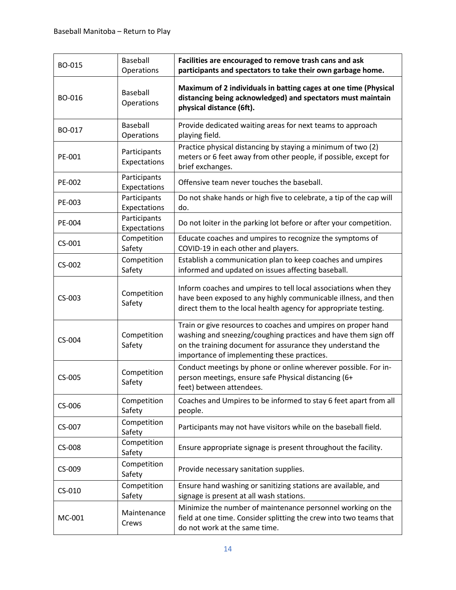| BO-015 | Baseball<br>Operations       | Facilities are encouraged to remove trash cans and ask<br>participants and spectators to take their own garbage home.                                                                                                                        |
|--------|------------------------------|----------------------------------------------------------------------------------------------------------------------------------------------------------------------------------------------------------------------------------------------|
| BO-016 | Baseball<br>Operations       | Maximum of 2 individuals in batting cages at one time (Physical<br>distancing being acknowledged) and spectators must maintain<br>physical distance (6ft).                                                                                   |
| BO-017 | Baseball<br>Operations       | Provide dedicated waiting areas for next teams to approach<br>playing field.                                                                                                                                                                 |
| PE-001 | Participants<br>Expectations | Practice physical distancing by staying a minimum of two (2)<br>meters or 6 feet away from other people, if possible, except for<br>brief exchanges.                                                                                         |
| PE-002 | Participants<br>Expectations | Offensive team never touches the baseball.                                                                                                                                                                                                   |
| PE-003 | Participants<br>Expectations | Do not shake hands or high five to celebrate, a tip of the cap will<br>do.                                                                                                                                                                   |
| PE-004 | Participants<br>Expectations | Do not loiter in the parking lot before or after your competition.                                                                                                                                                                           |
| CS-001 | Competition<br>Safety        | Educate coaches and umpires to recognize the symptoms of<br>COVID-19 in each other and players.                                                                                                                                              |
| CS-002 | Competition<br>Safety        | Establish a communication plan to keep coaches and umpires<br>informed and updated on issues affecting baseball.                                                                                                                             |
| CS-003 | Competition<br>Safety        | Inform coaches and umpires to tell local associations when they<br>have been exposed to any highly communicable illness, and then<br>direct them to the local health agency for appropriate testing.                                         |
| CS-004 | Competition<br>Safety        | Train or give resources to coaches and umpires on proper hand<br>washing and sneezing/coughing practices and have them sign off<br>on the training document for assurance they understand the<br>importance of implementing these practices. |
| CS-005 | Competition<br>Safety        | Conduct meetings by phone or online wherever possible. For in-<br>person meetings, ensure safe Physical distancing (6+<br>feet) between attendees.                                                                                           |
| CS-006 | Competition<br>Safety        | Coaches and Umpires to be informed to stay 6 feet apart from all<br>people.                                                                                                                                                                  |
| CS-007 | Competition<br>Safety        | Participants may not have visitors while on the baseball field.                                                                                                                                                                              |
| CS-008 | Competition<br>Safety        | Ensure appropriate signage is present throughout the facility.                                                                                                                                                                               |
| CS-009 | Competition<br>Safety        | Provide necessary sanitation supplies.                                                                                                                                                                                                       |
| CS-010 | Competition<br>Safety        | Ensure hand washing or sanitizing stations are available, and<br>signage is present at all wash stations.                                                                                                                                    |
| MC-001 | Maintenance<br>Crews         | Minimize the number of maintenance personnel working on the<br>field at one time. Consider splitting the crew into two teams that<br>do not work at the same time.                                                                           |